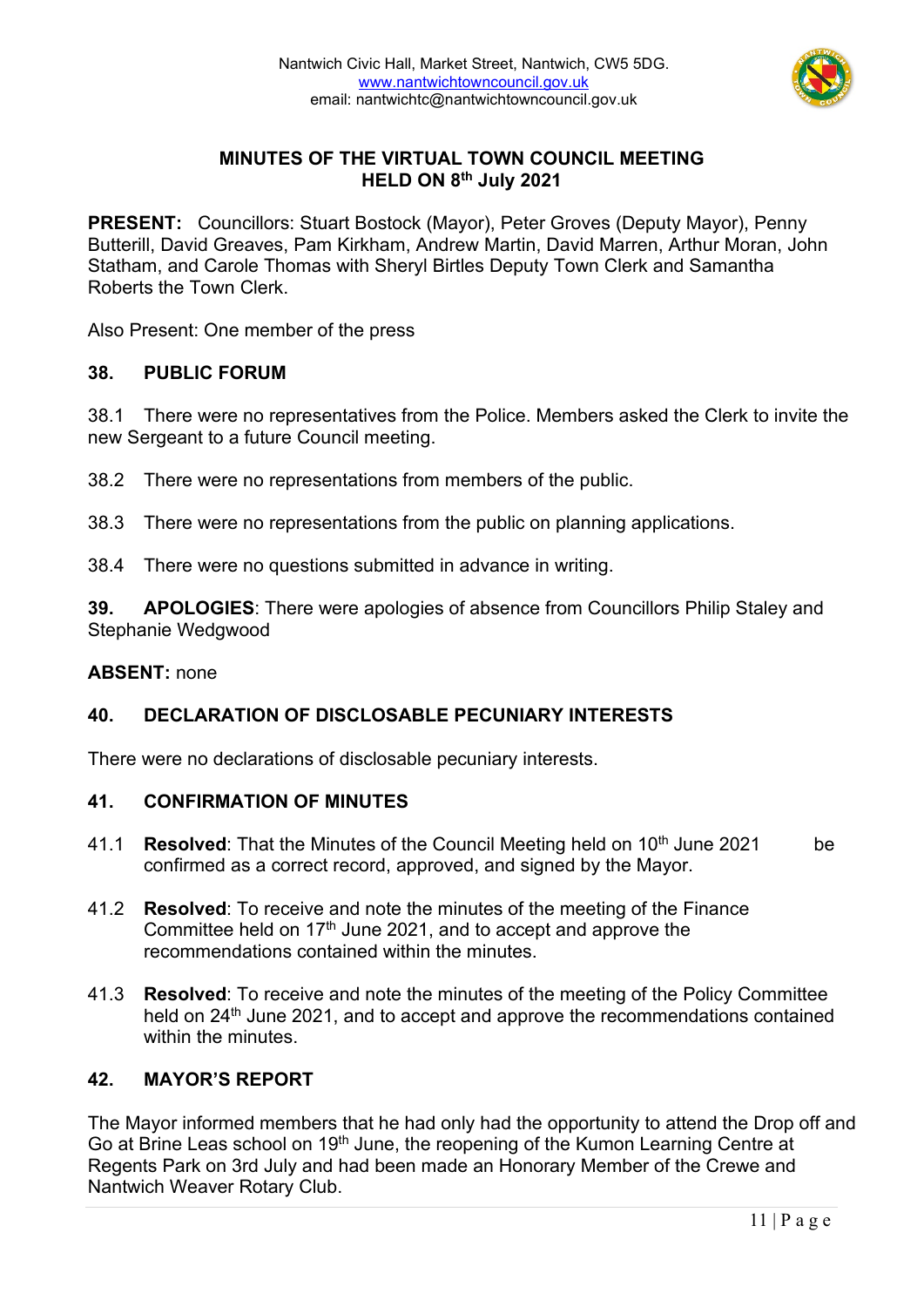

# **MINUTES OF THE VIRTUAL TOWN COUNCIL MEETING HELD ON 8th July 2021**

**PRESENT:** Councillors: Stuart Bostock (Mayor), Peter Groves (Deputy Mayor), Penny Butterill, David Greaves, Pam Kirkham, Andrew Martin, David Marren, Arthur Moran, John Statham, and Carole Thomas with Sheryl Birtles Deputy Town Clerk and Samantha Roberts the Town Clerk.

Also Present: One member of the press

## **38. PUBLIC FORUM**

38.1 There were no representatives from the Police. Members asked the Clerk to invite the new Sergeant to a future Council meeting.

- 38.2 There were no representations from members of the public.
- 38.3 There were no representations from the public on planning applications.
- 38.4 There were no questions submitted in advance in writing.

**39. APOLOGIES**: There were apologies of absence from Councillors Philip Staley and Stephanie Wedgwood

#### **ABSENT:** none

## **40. DECLARATION OF DISCLOSABLE PECUNIARY INTERESTS**

There were no declarations of disclosable pecuniary interests.

#### **41. CONFIRMATION OF MINUTES**

- 41.1 **Resolved**: That the Minutes of the Council Meeting held on 10th June 2021 be confirmed as a correct record, approved, and signed by the Mayor.
- 41.2 **Resolved**: To receive and note the minutes of the meeting of the Finance Committee held on  $17<sup>th</sup>$  June 2021, and to accept and approve the recommendations contained within the minutes.
- 41.3 **Resolved**: To receive and note the minutes of the meeting of the Policy Committee held on 24<sup>th</sup> June 2021, and to accept and approve the recommendations contained within the minutes.

## **42. MAYOR'S REPORT**

The Mayor informed members that he had only had the opportunity to attend the Drop off and Go at Brine Leas school on 19th June, the reopening of the Kumon Learning Centre at Regents Park on 3rd July and had been made an Honorary Member of the Crewe and Nantwich Weaver Rotary Club.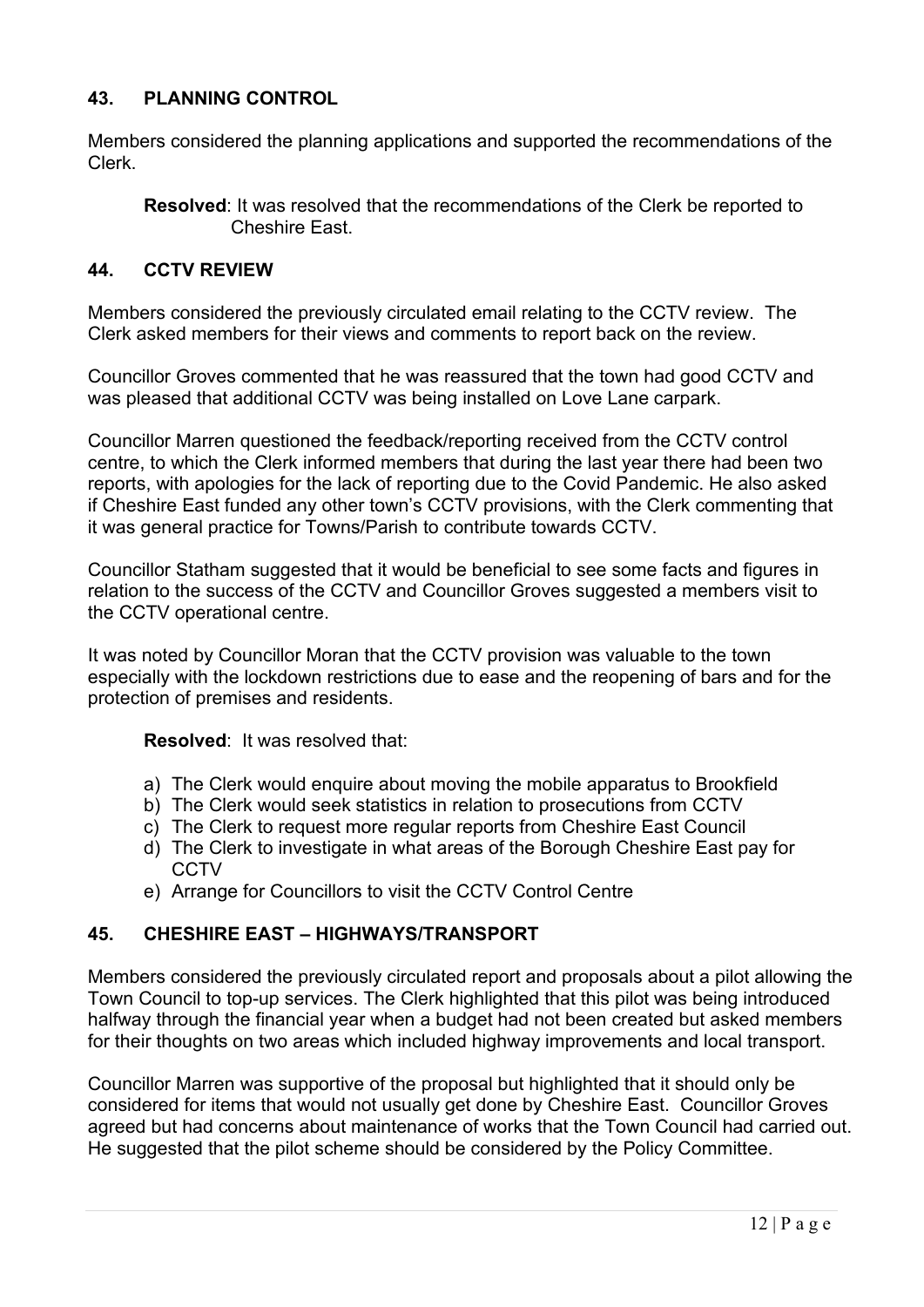# **43. PLANNING CONTROL**

Members considered the planning applications and supported the recommendations of the Clerk.

**Resolved**: It was resolved that the recommendations of the Clerk be reported to Cheshire East.

# **44. CCTV REVIEW**

Members considered the previously circulated email relating to the CCTV review. The Clerk asked members for their views and comments to report back on the review.

Councillor Groves commented that he was reassured that the town had good CCTV and was pleased that additional CCTV was being installed on Love Lane carpark.

Councillor Marren questioned the feedback/reporting received from the CCTV control centre, to which the Clerk informed members that during the last year there had been two reports, with apologies for the lack of reporting due to the Covid Pandemic. He also asked if Cheshire East funded any other town's CCTV provisions, with the Clerk commenting that it was general practice for Towns/Parish to contribute towards CCTV.

Councillor Statham suggested that it would be beneficial to see some facts and figures in relation to the success of the CCTV and Councillor Groves suggested a members visit to the CCTV operational centre.

It was noted by Councillor Moran that the CCTV provision was valuable to the town especially with the lockdown restrictions due to ease and the reopening of bars and for the protection of premises and residents.

## **Resolved**: It was resolved that:

- a) The Clerk would enquire about moving the mobile apparatus to Brookfield
- b) The Clerk would seek statistics in relation to prosecutions from CCTV
- c) The Clerk to request more regular reports from Cheshire East Council
- d) The Clerk to investigate in what areas of the Borough Cheshire East pay for **CCTV**
- e) Arrange for Councillors to visit the CCTV Control Centre

# **45. CHESHIRE EAST – HIGHWAYS/TRANSPORT**

Members considered the previously circulated report and proposals about a pilot allowing the Town Council to top-up services. The Clerk highlighted that this pilot was being introduced halfway through the financial year when a budget had not been created but asked members for their thoughts on two areas which included highway improvements and local transport.

Councillor Marren was supportive of the proposal but highlighted that it should only be considered for items that would not usually get done by Cheshire East. Councillor Groves agreed but had concerns about maintenance of works that the Town Council had carried out. He suggested that the pilot scheme should be considered by the Policy Committee.